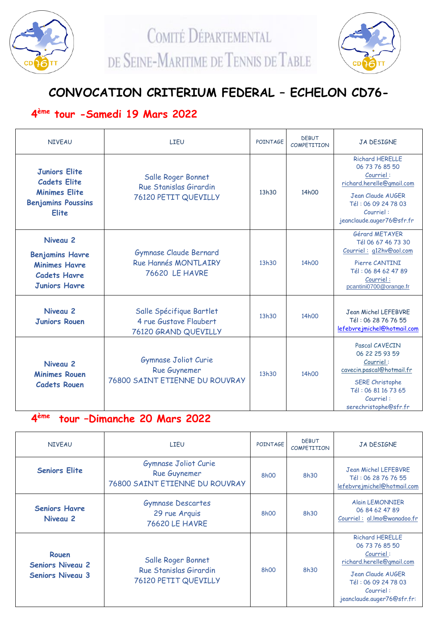

COMITÉ DÉPARTEMENTAL DE SEINE-MARITIME DE TENNIS DE TABLE



# **CONVOCATION CRITERIUM FEDERAL – ECHELON CD76-**

## **4 ème tour -Samedi 19 Mars 2022**

| <b>NIVFAU</b>                                                                                                    | <b>LIFU</b>                                                                    | POINTAGE | <b>DEBUT</b><br><b>COMPETITION</b> | <b>JA DESIGNE</b>                                                                                                                                                               |
|------------------------------------------------------------------------------------------------------------------|--------------------------------------------------------------------------------|----------|------------------------------------|---------------------------------------------------------------------------------------------------------------------------------------------------------------------------------|
| <b>Juniors Elite</b><br><b>Cadets Elite</b><br><b>Minimes Elite</b><br><b>Benjamins Poussins</b><br><b>Elite</b> | Salle Roger Bonnet<br>Rue Stanislas Girardin<br>76120 PETIT QUEVILLY           |          | 14h00                              | <b>Richard HERELLE</b><br>06 73 76 85 50<br>Courriel:<br>richard.herelle@gmail.com<br><b>Jean Claude AUGER</b><br>Tél: 06 09 24 78 03<br>Courriel:<br>jeanclaude.auger76@sfr.fr |
| Niveau 2<br><b>Benjamins Havre</b><br><b>Minimes Havre</b><br><b>Cadets Havre</b><br><b>Juniors Havre</b>        | Gymnase Claude Bernard<br><b>Rue Hannés MONTLAIRY</b><br><b>76620 LE HAVRE</b> |          | 14h00                              | Gérard METAYER<br>Tél 06 67 46 73 30<br>Courriel: g12hv@aol.com<br>Pierre CANTINI<br>Tél: 06 84 62 47 89<br>Courriel:<br>pcantini0700@orange.fr                                 |
| Niveau 2<br><b>Juniors Rouen</b>                                                                                 | Salle Spécifique Bartlet<br>4 rue Gustave Flaubert<br>76120 GRAND QUEVILLY     | 13h30    | 14h00                              | Jean Michel LEFEBVRE<br>Tél: 06 28 76 76 55<br>lefebvrejmichel@hotmail.com                                                                                                      |
| Niveau 2<br><b>Minimes Rouen</b><br><b>Cadets Rouen</b>                                                          | Gymnase Joliot Curie<br>Rue Guynemer<br>76800 SAINT ETIENNE DU ROUVRAY         | 13h30    | 14h00                              | Pascal CAVECIN<br>06 22 25 93 59<br>Courriel:<br>cavecin.pascal@hotmail.fr<br><b>SERE Christophe</b><br>Tél: 06 81 16 73 65<br>Courriel:<br>serechristophe@sfr.fr               |

#### **4 ème tour –Dimanche 20 Mars 2022**

| <b>NIVEAU</b>                                               | LIEU                                                                          | POINTAGE          | <b>DEBUT</b><br>COMPETITION | JA DESIGNE                                                                                                                                                                |
|-------------------------------------------------------------|-------------------------------------------------------------------------------|-------------------|-----------------------------|---------------------------------------------------------------------------------------------------------------------------------------------------------------------------|
| <b>Seniors Elite</b>                                        | Gymnase Joliot Curie<br><b>Rue Guynemer</b><br>76800 SAINT ETIENNE DU ROUVRAY | 8h00              | 8h30                        | Jean Michel LEFEBVRE<br>Tél: 06 28 76 76 55<br>lefebvrejmichel@hotmail.com                                                                                                |
| <b>Seniors Havre</b><br>Niveau 2                            | <b>Gymnase Descartes</b><br>29 rue Arquis<br><b>76620 LE HAVRE</b>            | 8h00              | 8h30                        | <b>Alain LEMONNIER</b><br>06 84 62 47 89<br>Courriel: al.Imo@wanadoo.fr                                                                                                   |
| Rouen<br><b>Seniors Niveau 2</b><br><b>Seniors Niveau 3</b> | Salle Roger Bonnet<br>Rue Stanislas Girardin<br>76120 PETIT QUEVILLY          | 8 <sub>h</sub> 00 | 8h30                        | <b>Richard HERELLE</b><br>06 73 76 85 50<br>Courriel:<br>richard.herelle@gmail.com<br>Jean Claude AUGER<br>Tél: 06 09 24 78 03<br>Courriel:<br>jeanclaude.auger76@sfr.fr: |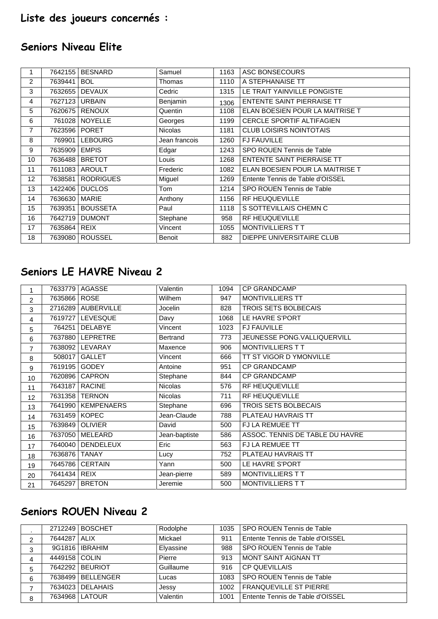# **Liste des joueurs concernés :**

## **Seniors Niveau Elite**

|                   | 7642155 | <b>BESNARD</b>   | Samuel         | 1163 | ASC BONSECOURS                   |
|-------------------|---------|------------------|----------------|------|----------------------------------|
| 2                 | 7639441 | <b>BOL</b>       | Thomas         | 1110 | A STEPHANAISE TT                 |
| 3                 | 7632655 | <b>DEVAUX</b>    | Cedric         | 1315 | LE TRAIT YAINVILLE PONGISTE      |
| 4                 | 7627123 | <b>URBAIN</b>    | Benjamin       | 1306 | ENTENTE SAINT PIERRAISE TT       |
| 5                 | 7620675 | <b>RENOUX</b>    | Quentin        | 1108 | ELAN BOESIEN POUR LA MAITRISE T  |
| 6                 | 761028  | <b>NOYELLE</b>   | Georges        | 1199 | <b>CERCLE SPORTIF ALTIFAGIEN</b> |
| 7                 | 7623596 | <b>PORET</b>     | <b>Nicolas</b> | 1181 | <b>CLUB LOISIRS NOINTOTAIS</b>   |
| 8                 | 769901  | <b>LEBOURG</b>   | Jean francois  | 1260 | <b>FJ FAUVILLE</b>               |
| 9                 | 7635909 | <b>EMPIS</b>     | Edgar          | 1243 | SPO ROUEN Tennis de Table        |
| 10                | 7636488 | <b>BRETOT</b>    | Louis          | 1268 | ENTENTE SAINT PIERRAISE TT       |
| 11                |         | 7611083   AROULT | Frederic       | 1082 | ELAN BOESIEN POUR LA MAITRISE T  |
| $12 \overline{ }$ | 7638581 | <b>RODRIGUES</b> | Miguel         | 1269 | Entente Tennis de Table d'OISSEL |
| 13                | 1422406 | <b>DUCLOS</b>    | Tom            | 1214 | SPO ROUEN Tennis de Table        |
| 14                | 7636630 | <b>MARIE</b>     | Anthony        | 1156 | <b>RF HEUQUEVILLE</b>            |
| 15                | 7639351 | <b>BOUSSETA</b>  | Paul           | 1118 | S SOTTEVILLAIS CHEMN C           |
| 16                | 7642719 | <b>DUMONT</b>    | Stephane       | 958  | <b>RF HEUQUEVILLE</b>            |
| 17                | 7635864 | <b>REIX</b>      | Vincent        | 1055 | <b>MONTIVILLIERS TT</b>          |
| 18                | 7639080 | <b>ROUSSEL</b>   | Benoit         | 882  | DIEPPE UNIVERSITAIRE CLUB        |

## **Seniors LE HAVRE Niveau 2**

|                |              | 7633779   AGASSE     | Valentin       | 1094 | <b>CP GRANDCAMP</b>             |
|----------------|--------------|----------------------|----------------|------|---------------------------------|
| $\overline{c}$ | 7635866 ROSE |                      | Wilhem         | 947  | <b>MONTIVILLIERS TT</b>         |
| 3              |              | 2716289 AUBERVILLE   | Jocelin        | 828  | TROIS SETS BOLBECAIS            |
| 4              |              | 7619727   LEVESQUE   | Davy           | 1068 | LE HAVRE S'PORT                 |
| 5              | 764251       | <b>DELABYE</b>       | Vincent        | 1023 | <b>FJ FAUVILLE</b>              |
| 6              |              | 7637880 LEPRETRE     | Bertrand       | 773  | JEUNESSE PONG.VALLIQUERVILL     |
| $\overline{7}$ | 7638092      | LEVARAY              | Maxence        | 906  | MONTIVILLIERS TT                |
| 8              | 508017       | <b>GALLET</b>        | Vincent        | 666  | TT ST VIGOR D YMONVILLE         |
| 9              | 7619195      | <b>GODEY</b>         | Antoine        | 951  | <b>CP GRANDCAMP</b>             |
| 10             | 7620896      | <b>CAPRON</b>        | Stephane       | 844  | <b>CP GRANDCAMP</b>             |
| 11             | 7643187      | <b>RACINE</b>        | <b>Nicolas</b> | 576  | RF HEUQUEVILLE                  |
| 12             |              | 7631358   TERNON     | Nicolas        | 711  | RF HEUQUEVILLE                  |
| 13             |              | 7641990   KEMPENAERS | Stephane       | 696  | TROIS SETS BOLBECAIS            |
| 14             | 7631459      | <b>KOPEC</b>         | Jean-Claude    | 788  | PLATEAU HAVRAIS TT              |
| 15             | 7639849      | <b>OLIVIER</b>       | David          | 500  | <b>FJ LA REMUEE TT</b>          |
| 16             | 7637050      | MELEARD              | Jean-baptiste  | 586  | ASSOC. TENNIS DE TABLE DU HAVRE |
| 17             | 7640040      | <b>DENDELEUX</b>     | Eric           | 563  | FJ LA REMUEE TT                 |
| 18             | 7636876      | <b>TANAY</b>         | Lucy           | 752  | PLATEAU HAVRAIS TT              |
| 19             | 7645786      | <b>CERTAIN</b>       | Yann           | 500  | LE HAVRE S'PORT                 |
| 20             | 7641434      | <b>REIX</b>          | Jean-pierre    | 589  | MONTIVILLIERS TT                |
| 21             | 7645297      | <b>BRETON</b>        | Jeremie        | 500  | MONTIVILLIERS TT                |

#### **Seniors ROUEN Niveau 2**

|   |               | 2712249   BOSCHET | Rodolphe  | 1035 | l SPO ROUEN Tennis de Table      |
|---|---------------|-------------------|-----------|------|----------------------------------|
| ົ | 7644287 ALIX  |                   | Mickael   | 911  | Entente Tennis de Table d'OISSEL |
| 3 |               | 9G1816   IBRAHIM  | Elyassine | 988  | l SPO ROUEN Tennis de Table      |
| 4 | 4449158 COLIN |                   | Pierre    | 913  | I MONT SAINT AIGNAN TT           |
| 5 |               | 7642292 BEURIOT   | Guillaume | 916  | l CP QUEVILLAIS                  |
| 6 |               | 7638499 BELLENGER | Lucas     | 1083 | SPO ROUEN Tennis de Table        |
|   |               | 7634023 DELAHAIS  | Jessy     | 1002 | l FRANQUEVILLE ST PIERRE         |
| 8 |               | 7634968   LATOUR  | Valentin  | 1001 | Entente Tennis de Table d'OISSEL |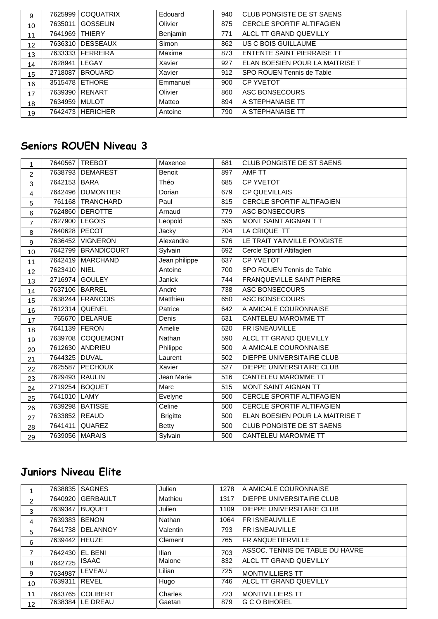| 9  | 7625999 | <b>COQUATRIX</b> | Edouard  | 940 | CLUB PONGISTE DE ST SAENS         |
|----|---------|------------------|----------|-----|-----------------------------------|
| 10 | 7635011 | <b>GOSSELIN</b>  | Olivier  | 875 | CERCLE SPORTIF ALTIFAGIEN         |
| 11 | 7641969 | <b>THIERY</b>    | Benjamin | 771 | ALCL TT GRAND QUEVILLY            |
| 12 | 7636310 | <b>DESSEAUX</b>  | Simon    | 862 | US C BOIS GUILLAUME               |
| 13 | 7633333 | <b>FERREIRA</b>  | Maxime   | 873 | <b>ENTENTE SAINT PIERRAISE TT</b> |
| 14 | 7628941 | LEGAY            | Xavier   | 927 | ELAN BOESIEN POUR LA MAITRISE T   |
| 15 | 2718087 | <b>BROUARD</b>   | Xavier   | 912 | SPO ROUEN Tennis de Table         |
| 16 | 3515478 | <b>ETHORE</b>    | Emmanuel | 900 | <b>CP YVETOT</b>                  |
| 17 | 7639390 | RENART           | Olivier  | 860 | ASC BONSECOURS                    |
| 18 | 7634959 | <b>MULOT</b>     | Matteo   | 894 | A STEPHANAISE TT                  |
| 19 | 7642473 | <b>HERICHER</b>  | Antoine  | 790 | A STEPHANAISE TT                  |

# **Seniors ROUEN Niveau 3**

| $\mathbf{1}$   |               | 7640567 TREBOT     | Maxence         | 681 | CLUB PONGISTE DE ST SAENS        |
|----------------|---------------|--------------------|-----------------|-----|----------------------------------|
| $\overline{c}$ | 7638793       | <b>DEMAREST</b>    | Benoit          | 897 | AMF TT                           |
| 3              | 7642153       | <b>BARA</b>        | Théo            | 685 | <b>CP YVETOT</b>                 |
| 4              |               | 7642496 DUMONTIER  | Dorian          | 679 | <b>CP QUEVILLAIS</b>             |
| 5              |               | 761168 TRANCHARD   | Paul            | 815 | <b>CERCLE SPORTIF ALTIFAGIEN</b> |
| $\,6\,$        | 7624860       | <b>DEROTTE</b>     | Arnaud          | 779 | ASC BONSECOURS                   |
| $\overline{7}$ | 7627900       | <b>LEGOIS</b>      | Leopold         | 595 | MONT SAINT AIGNAN T T            |
| 8              | 7640628 PECOT |                    | Jacky           | 704 | LA CRIQUE TT                     |
| 9              | 7636452       | <b>VIGNERON</b>    | Alexandre       | 576 | LE TRAIT YAINVILLE PONGISTE      |
| 10             | 7642799       | <b>BRANDICOURT</b> | Sylvain         | 692 | Cercle Sportif Altifagien        |
| 11             |               | 7642419   MARCHAND | Jean philippe   | 637 | <b>CP YVETOT</b>                 |
| 12             | 7623410 NIEL  |                    | Antoine         | 700 | SPO ROUEN Tennis de Table        |
| 13             | 2716974       | <b>GOULEY</b>      | Janick          | 744 | FRANQUEVILLE SAINT PIERRE        |
| 14             |               | 7637106 BARREL     | André           | 738 | <b>ASC BONSECOURS</b>            |
| 15             | 7638244       | <b>FRANCOIS</b>    | Matthieu        | 650 | ASC BONSECOURS                   |
| 16             |               | 7612314 QUENEL     | Patrice         | 642 | A AMICALE COURONNAISE            |
| 17             | 765670        | <b>DELARUE</b>     | Denis           | 631 | <b>CANTELEU MAROMME TT</b>       |
| 18             | 7641139 FERON |                    | Amelie          | 620 | FR ISNEAUVILLE                   |
| 19             |               | 7639708 COQUEMONT  | Nathan          | 590 | ALCL TT GRAND QUEVILLY           |
| 20             |               | 7612630 ANDRIEU    | Philippe        | 500 | A AMICALE COURONNAISE            |
| 21             | 7644325       | <b>DUVAL</b>       | Laurent         | 502 | DIEPPE UNIVERSITAIRE CLUB        |
| 22             | 7625587       | <b>PECHOUX</b>     | Xavier          | 527 | DIEPPE UNIVERSITAIRE CLUB        |
| 23             | 7629493       | <b>RAULIN</b>      | Jean Marie      | 516 | <b>CANTELEU MAROMME TT</b>       |
| 24             | 2719254       | <b>BOQUET</b>      | Marc            | 515 | MONT SAINT AIGNAN TT             |
| 25             | 7641010 LAMY  |                    | Evelyne         | 500 | CERCLE SPORTIF ALTIFAGIEN        |
| 26             | 7639298       | <b>BATISSE</b>     | Celine          | 500 | <b>CERCLE SPORTIF ALTIFAGIEN</b> |
| 27             | 7633852 REAUD |                    | <b>Brigitte</b> | 500 | ELAN BOESIEN POUR LA MAITRISE T  |
| 28             | 7641411       | QUAREZ             | <b>Betty</b>    | 500 | <b>CLUB PONGISTE DE ST SAENS</b> |
| 29             | 7639056       | <b>MARAIS</b>      | Sylvain         | 500 | <b>CANTELEU MAROMME TT</b>       |

## **Juniors Niveau Elite**

|    | 7638835 | <b>SAGNES</b>   | Julien       | 1278 | A AMICALE COURONNAISE           |
|----|---------|-----------------|--------------|------|---------------------------------|
| 2  | 7640920 | <b>GERBAULT</b> | Mathieu      | 1317 | DIEPPE UNIVERSITAIRE CLUB       |
| 3  | 7639347 | <b>BUQUET</b>   | Julien       | 1109 | DIEPPE UNIVERSITAIRE CLUB       |
| 4  | 7639383 | <b>BENON</b>    | Nathan       | 1064 | <b>FRISNEAUVILLE</b>            |
| 5  | 7641738 | <b>DELANNOY</b> | Valentin     | 793  | FR ISNEAUVILLE                  |
| 6  | 7639442 | <b>HEUZE</b>    | Clement      | 765  | FR ANQUETIERVILLE               |
| 7  | 7642430 | EL BENI         | <b>Ilian</b> | 703  | ASSOC. TENNIS DE TABLE DU HAVRE |
| 8  | 7642725 | <b>ISAAC</b>    | Malone       | 832  | ALCL TT GRAND QUEVILLY          |
| 9  | 7634987 | LEVEAU          | Lilian       | 725  | <b>MONTIVILLIERS TT</b>         |
| 10 | 7639311 | <b>REVEL</b>    | Hugo         | 746  | ALCL TT GRAND QUEVILLY          |
| 11 | 7643765 | <b>COLIBERT</b> | Charles      | 723  | <b>MONTIVILLIERS TT</b>         |
| 12 | 7638384 | LE DREAU        | Gaetan       | 879  | <b>G C O BIHOREL</b>            |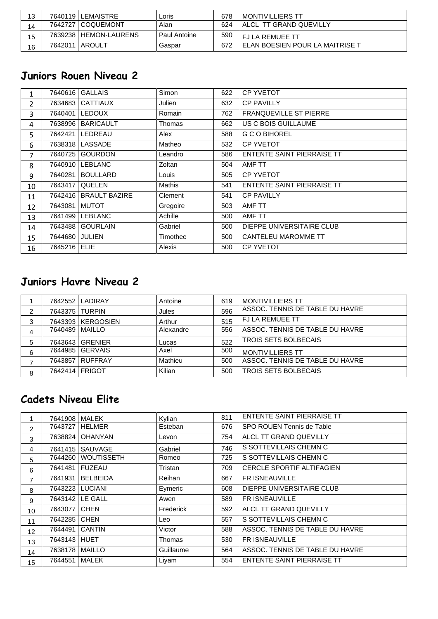| 13 |         | 7640119 LEMAISTRE     | Loris        | 678 | I MONTIVILLIERS TT                |
|----|---------|-----------------------|--------------|-----|-----------------------------------|
| 14 |         | 7642727   COQUEMONT   | Alan         | 624 | ALCL TT GRAND QUEVILLY            |
| 15 |         | 7639238 HEMON-LAURENS | Paul Antoine | 590 | <b>FJIA REMUFE TT</b>             |
| 16 | 7642011 | l AROULT              | Gaspar       | 672 | ' ELAN BOESIEN POUR LA MAITRISE T |

#### **Juniors Rouen Niveau 2**

|    | 7640616 | <b>GALLAIS</b>       | Simon         | 622 | <b>CP YVETOT</b>                  |
|----|---------|----------------------|---------------|-----|-----------------------------------|
| 2  | 7634683 | <b>CATTIAUX</b>      | Julien        | 632 | <b>CP PAVILLY</b>                 |
| 3  | 7640401 | <b>LEDOUX</b>        | Romain        | 762 | <b>FRANQUEVILLE ST PIERRE</b>     |
| 4  | 7638996 | <b>BARICAULT</b>     | Thomas        | 662 | US C BOIS GUILLAUME               |
| 5  | 7642421 | LEDREAU              | Alex          | 588 | <b>G C O BIHOREL</b>              |
| 6  | 7638318 | LASSADE              | Matheo        | 532 | <b>CP YVETOT</b>                  |
| 7  | 7640725 | <b>GOURDON</b>       | Leandro       | 586 | ENTENTE SAINT PIERRAISE TT        |
| 8  | 7640910 | <b>LEBLANC</b>       | Zoltan        | 504 | AMF TT                            |
| 9  | 7640281 | <b>BOULLARD</b>      | Louis         | 505 | <b>CP YVETOT</b>                  |
| 10 | 7643417 | <b>QUELEN</b>        | <b>Mathis</b> | 541 | <b>ENTENTE SAINT PIERRAISE TT</b> |
| 11 | 7642416 | <b>BRAULT BAZIRE</b> | Clement       | 541 | <b>CP PAVILLY</b>                 |
| 12 | 7643081 | <b>MUTOT</b>         | Gregoire      | 503 | AMF TT                            |
| 13 | 7641499 | <b>LEBLANC</b>       | Achille       | 500 | AMF TT                            |
| 14 | 7643488 | <b>GOURLAIN</b>      | Gabriel       | 500 | DIEPPE UNIVERSITAIRE CLUB         |
| 15 | 7644680 | <b>JULIEN</b>        | Timothee      | 500 | CANTELEU MAROMME TT               |
| 16 | 7645216 | <b>ELIE</b>          | Alexis        | 500 | <b>CP YVETOT</b>                  |

## **Juniors Havre Niveau 2**

|   |                  | 7642552 LADIRAY     | Antoine   | 619 | <b>MONTIVILLIERS TT</b>         |
|---|------------------|---------------------|-----------|-----|---------------------------------|
|   | 7643375 TURPIN   |                     | Jules     | 596 | ASSOC. TENNIS DE TABLE DU HAVRE |
| 3 |                  | 7643393   KERGOSIEN | Arthur    | 515 | <b>FJ LA REMUEE TT</b>          |
| 4 | 7640489   MAILLO |                     | Alexandre | 556 | ASSOC. TENNIS DE TABLE DU HAVRE |
| 5 |                  | 7643643 GRENIER     | Lucas     | 522 | <b>TROIS SETS BOLBECAIS</b>     |
| 6 |                  | 7644985   GERVAIS   | Axel      | 500 | <b>MONTIVILLIERS TT</b>         |
|   |                  | 7643857 RUFFRAY     | Mathieu   | 500 | ASSOC. TENNIS DE TABLE DU HAVRE |
| 8 | 7642414   FRIGOT |                     | Kilian    | 500 | <b>TROIS SETS BOLBECAIS</b>     |

## **Cadets Niveau Elite**

|                | 7641908 | <b>MALEK</b>      | Kvlian    | 811 | <b>ENTENTE SAINT PIERRAISE TT</b> |
|----------------|---------|-------------------|-----------|-----|-----------------------------------|
| $\overline{2}$ | 7643727 | <b>HELMER</b>     | Esteban   | 676 | SPO ROUEN Tennis de Table         |
| 3              | 7638824 | <b>OHANYAN</b>    | Levon     | 754 | ALCL TT GRAND QUEVILLY            |
| 4              | 7641415 | SAUVAGE           | Gabriel   | 746 | S SOTTEVILLAIS CHEMN C            |
| 5              | 7644260 | <b>WOUTISSETH</b> | Romeo     | 725 | S SOTTEVILLAIS CHEMN C            |
| 6              | 7641481 | <b>FUZEAU</b>     | Tristan   | 709 | <b>CERCLE SPORTIF ALTIFAGIEN</b>  |
| 7              | 7641931 | <b>BELBEIDA</b>   | Reihan    | 667 | <b>FRISNEAUVILLE</b>              |
| 8              |         | 7643223   LUCIANI | Eymeric   | 608 | DIEPPE UNIVERSITAIRE CLUB         |
| 9              |         | 7643142 LE GALL   | Awen      | 589 | <b>FRISNEAUVILLE</b>              |
| 10             | 7643077 | <b>CHEN</b>       | Frederick | 592 | ALCL TT GRAND QUEVILLY            |
| 11             | 7642285 | <b>CHEN</b>       | Leo       | 557 | S SOTTEVILLAIS CHEMN C            |
| 12             | 7644491 | <b>CANTIN</b>     | Victor    | 588 | ASSOC. TENNIS DE TABLE DU HAVRE   |
| 13             | 7643143 | <b>HUET</b>       | Thomas    | 530 | <b>FRISNEAUVILLE</b>              |
| 14             | 7638178 | <b>MAILLO</b>     | Guillaume | 564 | ASSOC. TENNIS DE TABLE DU HAVRE   |
| 15             | 7644551 | <b>MALEK</b>      | Liyam     | 554 | ENTENTE SAINT PIERRAISE TT        |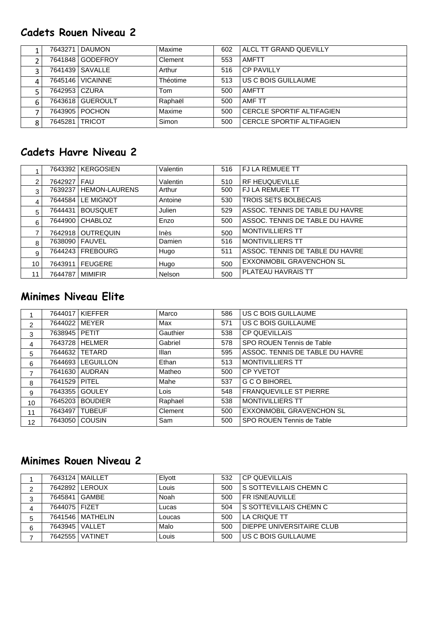## **Cadets Rouen Niveau 2**

|   |               | 7643271   DAUMON   | Maxime          | 602 | ALCL TT GRAND QUEVILLY           |
|---|---------------|--------------------|-----------------|-----|----------------------------------|
|   |               | 7641848 GODEFROY   | Clement         | 553 | <b>AMFTT</b>                     |
|   |               | 7641439   SAVALLE  | Arthur          | 516 | CP PAVILLY                       |
|   |               | 7645146   VICAINNE | <b>Théotime</b> | 513 | US C BOIS GUILLAUME              |
|   | 7642953 CZURA |                    | Tom             | 500 | <b>AMFTT</b>                     |
| 6 |               | 7643618 GUEROULT   | Raphaël         | 500 | AMF TT                           |
|   |               | 7643905   POCHON   | Maxime          | 500 | CERCLE SPORTIF ALTIFAGIEN        |
| 8 | 7645281       | <b>TRICOT</b>      | Simon           | 500 | <b>CERCLE SPORTIF ALTIFAGIEN</b> |

## **Cadets Havre Niveau 2**

|                |             | 7643392 KERGOSIEN    | Valentin | 516 | <b>FJ LA REMUEE TT</b>          |
|----------------|-------------|----------------------|----------|-----|---------------------------------|
| $\overline{2}$ | 7642927 FAU |                      | Valentin | 510 | <b>RF HEUQUEVILLE</b>           |
| 3              | 7639237     | <b>HEMON-LAURENS</b> | Arthur   | 500 | <b>FJ LA REMUEE TT</b>          |
| 4              | 7644584     | LE MIGNOT            | Antoine  | 530 | <b>TROIS SETS BOLBECAIS</b>     |
| 5              | 7644431     | <b>BOUSQUET</b>      | Julien   | 529 | ASSOC. TENNIS DE TABLE DU HAVRE |
| 6              |             | 7644900 CHABLOZ      | Enzo     | 500 | ASSOC. TENNIS DE TABLE DU HAVRE |
|                |             | 7642918   OUTREQUIN  | Inès     | 500 | <b>MONTIVILLIERS TT</b>         |
| 8              |             | 7638090   FAUVEL     | Damien   | 516 | <b>MONTIVILLIERS TT</b>         |
| 9              | 7644243     | <b>FREBOURG</b>      | Hugo     | 511 | ASSOC. TENNIS DE TABLE DU HAVRE |
| 10             | 7643911     | <b>FEUGERE</b>       | Hugo     | 500 | <b>EXXONMOBIL GRAVENCHON SL</b> |
| 11             | 7644787     | <b>MIMIFIR</b>       | Nelson   | 500 | PLATEAU HAVRAIS TT              |

#### **Minimes Niveau Elite**

|                |                 | 7644017 KIEFFER   | Marco    | 586 | US C BOIS GUILLAUME             |
|----------------|-----------------|-------------------|----------|-----|---------------------------------|
| $\overline{2}$ | 7644022 MEYER   |                   | Max      | 571 | US C BOIS GUILLAUME             |
| 3              | 7638945 PETIT   |                   | Gauthier | 538 | <b>CP QUEVILLAIS</b>            |
| 4              |                 | 7643728 HELMER    | Gabriel  | 578 | SPO ROUEN Tennis de Table       |
| 5              |                 | 7644632   TETARD  | Illan    | 595 | ASSOC. TENNIS DE TABLE DU HAVRE |
| 6              |                 | 7644693 LEGUILLON | Ethan    | 513 | <b>MONTIVILLIERS TT</b>         |
| 7              |                 | 7641630   AUDRAN  | Matheo   | 500 | <b>CP YVETOT</b>                |
| 8              | 7641529   PITEL |                   | Mahe     | 537 | <b>G C O BIHOREL</b>            |
| 9              |                 | 7643355   GOULEY  | Lois     | 548 | <b>FRANQUEVILLE ST PIERRE</b>   |
| 10             | 7645203         | <b>BOUDIER</b>    | Raphael  | 538 | <b>MONTIVILLIERS TT</b>         |
| 11             | 7643497         | <b>TUBEUF</b>     | Clement  | 500 | <b>EXXONMOBIL GRAVENCHON SL</b> |
| 12             |                 | 7643050 COUSIN    | Sam      | 500 | SPO ROUEN Tennis de Table       |

## **Minimes Rouen Niveau 2**

|         |                  | 7643124   MAILLET  | Elyott | 532 | l CP QUEVILLAIS               |
|---------|------------------|--------------------|--------|-----|-------------------------------|
| ົ       |                  | 7642892 LEROUX     | Louis  | 500 | <b>S SOTTEVILLAIS CHEMN C</b> |
| ◠<br>د. | 7645841   GAMBE  |                    | Noah   | 500 | <b>FRISNEAUVILLE</b>          |
| 4       | 7644075   FIZET  |                    | Lucas  | 504 | Í S SOTTEVILLAIS CHEMN C      |
| 5       |                  | 7641546   MATHELIN | Loucas | 500 | I LA CRIQUE TT                |
| 6       | 7643945   VALLET |                    | Malo   | 500 | DIEPPE UNIVERSITAIRE CLUB     |
|         |                  | 7642555   VATINET  | Louis  | 500 | US C BOIS GUILLAUME           |